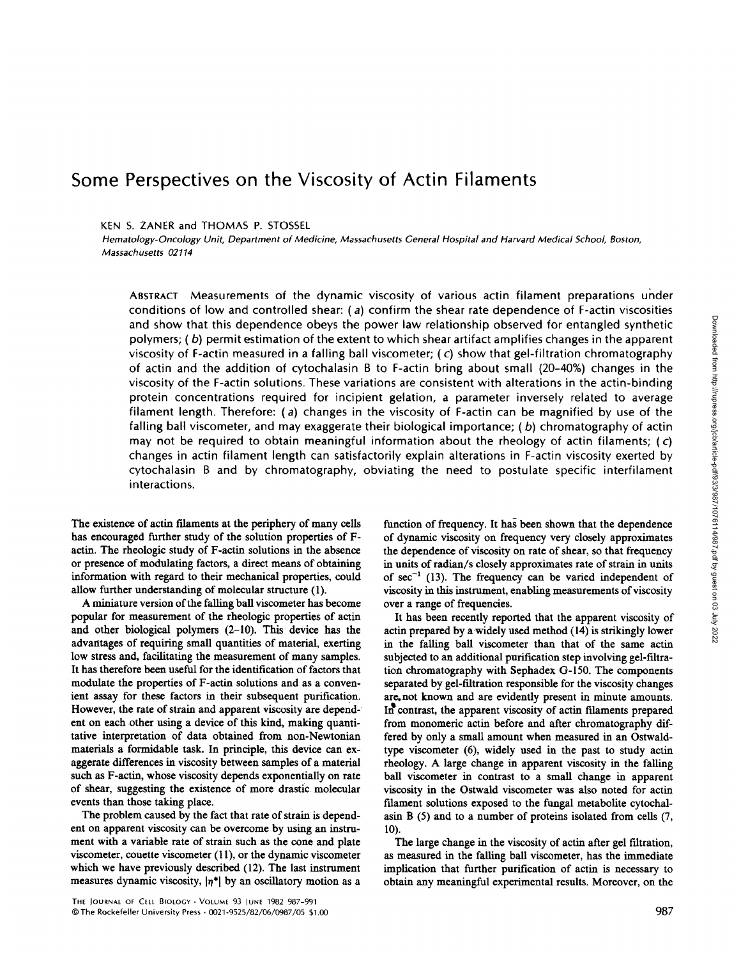# Some Perspectives on the Viscosity of Actin Filaments

KEN S. ZANER and THOMAS P. STOSSEL

Hematology-Oncology Unit, Department of Medicine, Massachusetts General Hospital and Harvard Medical School, Boston, Massachusetts 02114

ABSTRACT Measurements of the dynamic viscosity of various actin filament preparations under conditions of low and controlled shear: (a) confirm the shear rate dependence of F-actin viscosities and show that this dependence obeys the power law relationship observed for entangled synthetic polymers; ( b) permit estimation of the extent to which shear artifact amplifies changes in the apparent viscosity of F-actin measured in <sup>a</sup> falling ball viscometer; ( c) show that gel-filtration chromatography of actin and the addition of cytochalasin B to F-actin bring about small (20-40%) changes in the viscosity of the F-actin solutions . These variations are consistent with alterations in the actin-binding protein concentrations required for incipient gelation, a parameter inversely related to average filament length. Therefore:  $(a)$  changes in the viscosity of F-actin can be magnified by use of the falling ball viscometer, and may exaggerate their biological importance;  $(b)$  chromatography of actin may not be required to obtain meaningful information about the rheology of actin filaments;  $(c)$ changes in actin filament length can satisfactorily explain alterations in F-actin viscosity exerted by cytochalasin B and by chromatography, obviating the need to postulate specific interfilament interactions.

The existence of actin filaments at the periphery of many cells has encouraged further study of the solution properties of Factin. The rheologic study of F-actin solutions in the absence or presence of modulating factors, a direct means of obtaining information with regard to their mechanical properties, could allow further understanding of molecular structure (1).

A miniature version of the falling ball viscometer has become popular for measurement of the rheologic properties of actin and other biological polymers (2-10). This device has the advantages of requiring small quantities of material, exerting low stress and, facilitating the measurement of many samples. It has therefore been useful for the identification of factors that modulate the properties of F-actin solutions and as a convenient assay for these factors in their subsequent purification. However, the rate of strain and apparent viscosity are dependent on each other using a device of this kind, making quantitative interpretation of data obtained from non-Newtonian materials a formidable task. In principle, this device can exaggerate differences in viscosity between samples of a material such as F-actin, whose viscosity depends exponentially on rate of shear, suggesting the existence of more drastic molecular events than those taking place.

The problem caused by the fact that rate of strain is dependent on apparent viscosity can be overcome by using an instrument with a variable rate of strain such as the cone and plate viscometer, couette viscometer (11), or the dynamic viscometer which we have previously described (12). The last instrument measures dynamic viscosity,  $|\eta^*|$  by an oscillatory motion as a function of frequency. It has been shown that the dependence of dynamic viscosity on frequency very closely approximates the dependence of viscosity on rate of shear, so that frequency in units of radian/s closely approximates rate of strain in units of  $sec^{-1}$  (13). The frequency can be varied independent of viscosity in this instrument, enabling measurements of viscosity over a range of frequencies.

It has been recently reported that the apparent viscosity of actin prepared by a widely used method (14) is strikingly lower in the falling ball viscometer than that of the same actin subjected to an additional purification step involving gel-filtration chromatography with Sephadex G-150. The components separated by gel-filtration responsible for the viscosity changes are. not known and are evidently present in minute amounts. In contrast, the apparent viscosity of actin filaments prepared from monomeric actin before and after chromatography differed by only a small amount when measured in an Ostwaldtype viscometer (6), widely used in the past to study actin rheology. A large change in apparent viscosity in the falling ball viscometer in contrast to a small change in apparent viscosity in the Ostwald viscometer was also noted for actin filament solutions exposed to the fungal metabolite cytochalasin B (5) and to a number of proteins isolated from cells (7, 10).

The large change in the viscosity of actin after gel filtration, as measured in the falling ball viscometer, has the immediate implication that further purification of actin is necessary to obtain any meaningful experimental results . Moreover, on the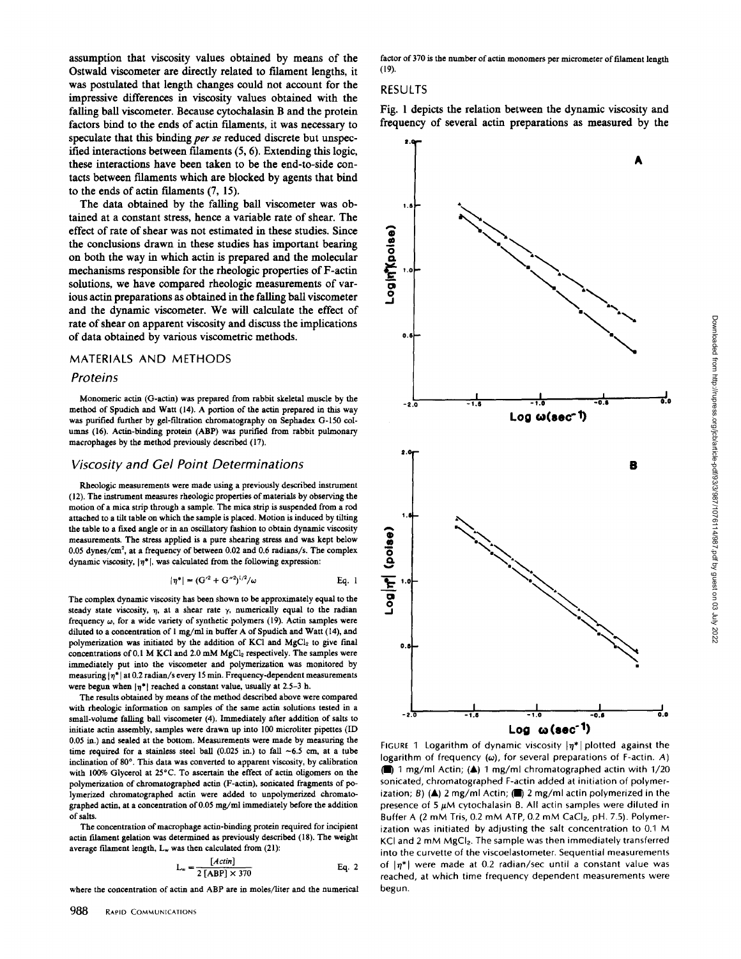assumption that viscosity values obtained by means of the Ostwald viscometer are directly related to filament lengths, it was postulated that length changes could not account for the impressive differences in viscosity values obtained with the falling ball viscometer. Because cytochalasin B and the protein factors bind to the ends of actin filaments, it was necessary to speculate that this binding per se reduced discrete but unspecified interactions between filaments  $(5, 6)$ . Extending this logic, these interactions have been taken to be the end-to-side contacts between filaments which are blocked by agents that bind to the ends of actin filaments (7, 15) .

The data obtained by the falling ball viscometer was obtained at a constant stress, hence a variable rate of shear. The effect of rate of shear was not estimated in these studies. Since the conclusions drawn in these studies has important bearing on both the way in which actin is prepared and the molecular mechanisms responsible for the rheologic properties of F-actin solutions, we have compared rheologic measurements of various actin preparations as obtained in the falling ball viscometer and the dynamic viscometer. We will calculate the effect of rate of shear on apparent viscosity and discuss the implications of data obtained by various viscomeric methods .

#### MATERIALS AND METHODS

### Proteins

Monomeric actin (G-actin) was prepared from rabbit skeletal muscle by the method of Spudich and Watt (14) . A portion of the actin prepared in this way was purified further by gel-filtration chromatography on Sephadex G-150 columns (16) . Actin-binding protein (ABP) was purified from rabbit pulmonary macrophages by the method previously described (17).

## Viscosity and Gel Point Determinations

Rheologic measurements were made using a previously described instrument (12) . The instrument measures rheologic properties of materials by observing the motion of a mica strip through a sample. The mica strip is suspended from a rod attached to a tilt table on which the sample is placed. Motion is induced by tilting the table to a fixed angle or in an oscillatory fashion to obtain dynamic viscosity measurements. The stress applied is a pure shearing stress and was kept below 0.05 dynes/cm', at a frequency of between 0.02 and 0.6 radians/s. The complex dynamic viscosity,  $|\eta^*|$ , was calculated from the following expression:

$$
|\eta^*| = (G'^2 + G'^2)^{1/2}/\omega
$$
 Eq. 1

The complex dynamic viscosity has been shown to be approximately equal to the steady state viscosity,  $\eta$ , at a shear rate  $\gamma$ , numerically equal to the radian frequency  $\omega$ , for a wide variety of synthetic polymers (19). Actin samples were diluted to <sup>a</sup> concentration of <sup>1</sup> mg/ml in buffer Aof Spudich and Watt (14), and polymerization was initiated by the addition of KCl and  $MgCl<sub>2</sub>$  to give final concentrations of 0.1 M KCl and 2.0 mM MgCl<sub>2</sub> respectively. The samples were immediately put into the viscometer and polymerization was monitored by measuring  $|\eta^*|$  at 0.2 radian/s every 15 min. Frequency-dependent measurements were begun when  $|\eta^*|$  reached a constant value, usually at 2.5-3 h.

The results obtained by means of the method described above were compared with rheologic information on samples of the same actin solutions tested in a small-volume falling ball viscometer (4). Immediately after addition of salts to initiate actin assembly, samples were drawn up into 100 microliter pipettes (ID 0.05 in .) and sealed at the bottom. Measurements were made by measuring the time required for a stainless steel ball  $(0.025$  in.) to fall ~6.5 cm, at a tube inclination of 80°. This data was converted to apparent viscosity, by calibration with 100% Glycerol at 25°C. To ascertain the effect of actin oligomers on the polymerization of chromatographed actin (F-actin), sonicated fragments of polymerized chromatographed actin were added to unpolymerized chromatographed actin, at a concentration of 0.05 mg/ml immediately before the addition of salts.

The concentration of macrophage actin-binding protein required for incipient actin filament gelation was determined as previously described (18). The weight average filament length, L<sub>w</sub> was then calculated from (21):

$$
L_w = \frac{[Actin]}{2 [ABP] \times 370}
$$
 Eq. 2

where the concentration of actin and ABP are in moles/liter and the numerical

factor of 370 is the number of actin monomers permicrometer of filament length  $(19)$ .

# RESULTS

Fig. 1 depicts the relation between the dynamic viscosity and frequency of several actin preparations as measured by the



FIGURE 1 Logarithm of dynamic viscosity  $|\eta^*|$  plotted against the logarithm of frequency  $(\omega)$ , for several preparations of F-actin. A)  $\Box$ ) 1 mg/ml Actin;  $\Box$ ) 1 mg/ml chromatographed actin with 1/20 sonicated, chromatographed F-actin added at initiation of polymerization; B) ( $\triangle$ ) 2 mg/ml Actin; ( $\Box$ ) 2 mg/ml actin polymerized in the presence of 5  $\mu$ M cytochalasin B. All actin samples were diluted in Buffer A (2 mM Tris, 0.2 mM ATP, 0.2 mM CaCl<sub>2</sub>, pH. 7.5). Polymerization was initiated by adjusting the salt concentration to 0.1 M KCI and 2 mM MgCI<sub>2</sub>. The sample was then immediately transferred into the curvette of the viscoelastometer. Sequential measurements of  $|\eta^*|$  were made at 0.2 radian/sec until a constant value was reached, at which time frequency dependent measurements were begun.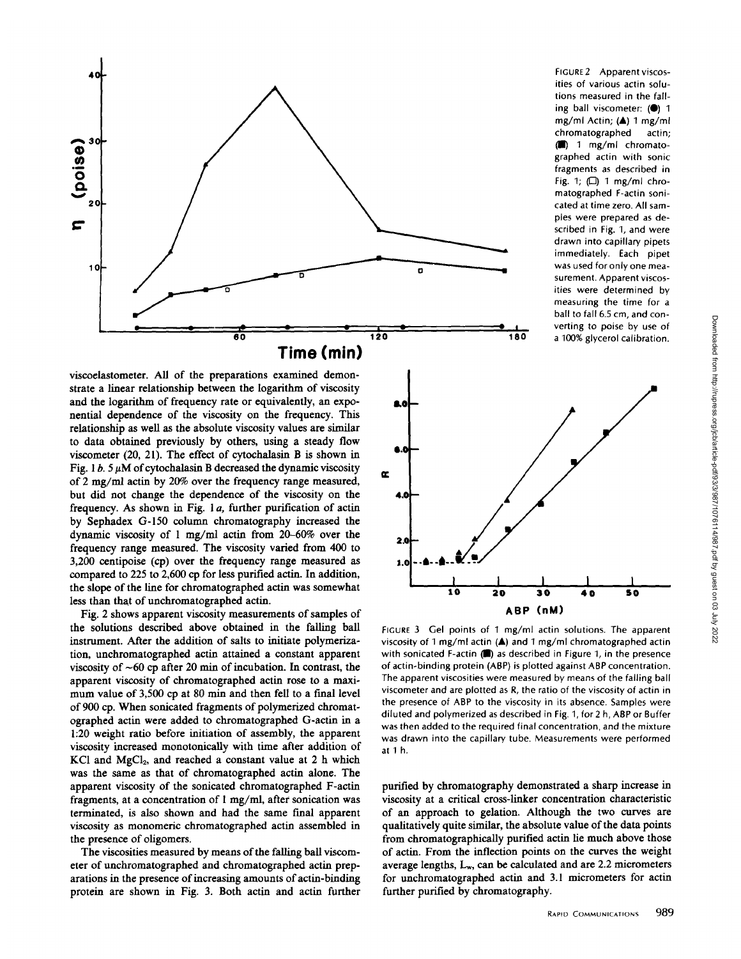

viscoelastometer. All of the preparations examined demonstrate a linear relationship between the logarithm of viscosity and the logarithm of frequency rate or equivalently, an exponential dependence of the viscosity on the frequency. This relationship as well as the absolute viscosity values are similar to data obtained previously by others, using a steady flow viscometer (20, 21) . The effect of cytochalasin B is shown in Fig. 1 b. 5  $\mu$ M of cytochalasin B decreased the dynamic viscosity of 2 mg/ml actin by  $20\%$  over the frequency range measured, but did not change the dependence of the viscosity on the frequency . As shown in Fig. <sup>1</sup> a, further purification of actin by Sephadex G-150 column chromatography increased the dynamic viscosity of <sup>1</sup> mg/ml actin from 20-60% over the frequency range measured. The viscosity varied from 400 to 3,200 centipoise (cp) over the frequency range measured as compared to 225 to 2,600 cp for less purified actin. In addition, the slope of the line for chromatographed actin was somewhat less than that of unchromatographed actin.

Fig. 2 shows apparent viscosity measurements of samples of the solutions described above obtained in the falling ball instrument. After the addition of salts to initiate polymerization, unchromatographed actin attained a constant apparent viscosity of  $\sim 60$  cp after 20 min of incubation. In contrast, the apparent viscosity of chromatographed actin rose to a maximum value of 3,500 cp at <sup>80</sup> min and then fell to <sup>a</sup> final level of 900 cp. When sonicated fragments of polymerized chromatographed actin were added to chromatographed G-actin in a 1:20 weight ratio before initiation of assembly, the apparent viscosity increased monotonically with time after addition of  $KCl$  and  $MgCl<sub>2</sub>$ , and reached a constant value at 2 h which was the same as that of chromatographed actin alone. The apparent viscosity of the sonicated chromatographed F-actin fragments, at a concentration of <sup>1</sup> mg/ml, after sonication was terminated, is also shown and had the same final apparent viscosity as monomeric chromatographed actin assembled in the presence of oligomers.

The viscosities measured by means of the falling ball viscometer of unchromatographed and chromatographed actin preparations in the presence of increasing amounts of actin-binding protein are shown in Fig. 3. Both actin and actin further

FIGURE 2 Apparent viscosities of various actin solutions measured in the falling ball viscometer:  $($   $)$  1 mg/ml Actin; (A) 1 mg/ml chromatographed actin; (n) 1 mg/ml chromatographed actin with sonic fragments as described in Fig. 1; (0) 1 mg/ml chromatographed F-actin sonicated at time zero. All samples were prepared as described in Fig. 1, and were drawn into capillary pipets immediately. Each pipet was used for only one measurement. Apparent viscosities were determined by measuring the time for a ball to fall 6.5 cm, and con-<br>verting to poise by use of



FIGURE 3 Gel points of <sup>1</sup> mg/ml actin solutions. The apparent viscosity of 1 mg/ml actin  $(A)$  and 1 mg/ml chromatographed actin with sonicated F-actin  $($ ) as described in Figure 1, in the presence of actin-binding protein (ABP) is plotted against ABP concentration . The apparent viscosities were measured by means of the falling ball viscometer and are plotted as R, the ratio of the viscosity of actin in the presence of ABP to the viscosity in its absence. Samples were diluted and polymerized as described in Fig. 1, for <sup>2</sup> h, ABP or Buffer was then added to the required final concentration, and the mixture was drawn into the capillary tube. Measurements were performed at 1 h.

purified by chromatography demonstrated a sharp increase in viscosity at a critical cross-linker concentration characteristic of an approach to gelation. Although the two curves are qualitatively quite similar, the absolute value of the data points from chromatographically purified actin lie much above those of actin . From the inflection points on the curves the weight average lengths,  $L_w$ , can be calculated and are 2.2 micrometers for unchromatographed actin and 3.1 micrometers for actin further purified by chromatography.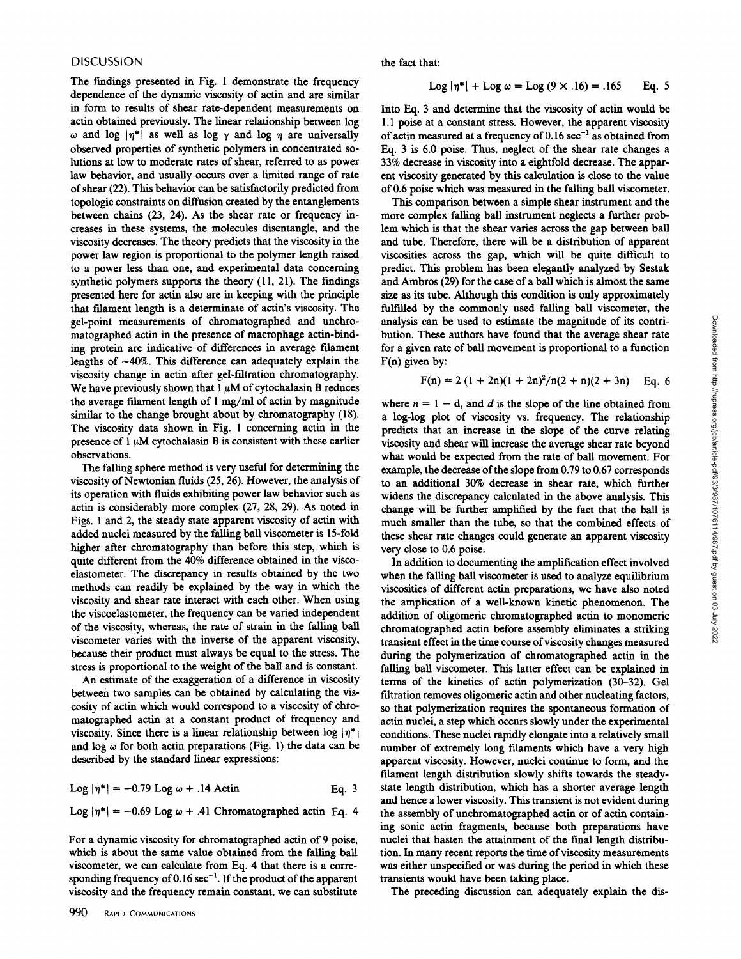The findings presented in Fig. 1 demonstrate the frequency dependence of the dynamic viscosity of actin and are similar in form to results of shear rate-dependent measurements on actin obtained previously. The linear relationship between log  $\omega$  and log  $|\eta^*|$  as well as log  $\gamma$  and log  $\eta$  are universally observed properties of synthetic polymers in concentrated solutions at low to moderate rates of shear, referred to as power law behavior, and usually occurs over a limited range of rate of shear (22) . This behavior can be satisfactorily predicted from topologic constraints on diffusion created by the entanglements between chains (23, 24). As the shear rate or frequency increases in these systems, the molecules disentangle, and the viscosity decreases . The theory predicts that the viscosity in the power law region is proportional to the polymer length raised to a power less than one, and experimental data concerning synthetic polymers supports the theory  $(11, 21)$ . The findings presented here for actin also are in keeping with the principle that filament length is a determinate of actin's viscosity . The gel-point measurements of chromatographed and unchromatographed actin in the presence of macrophage actin-binding protein are indicative of differences in average filament lengths of  $~10\%$ . This difference can adequately explain the viscosity change in actin after gel-filtration chromatography. We have previously shown that  $1 \mu M$  of cytochalasin B reduces the average filament length of <sup>1</sup> mg/ml of actin by magnitude similar to the change brought about by chromatography (18). The viscosity data shown in Fig. 1 concerning actin in the presence of  $1 \mu M$  cytochalasin B is consistent with these earlier observations.

The falling sphere method is very useful for determining the viscosity of Newtonian fluids (25, 26). However, the analysis of its operation with fluids exhibiting power law behavior such as actin is considerably more complex (27, 28, 29). As noted in Figs . <sup>1</sup> and 2, the steady state apparent viscosity of actin with added nuclei measured by the falling ball viscometer is 15-fold higher after chromatography than before this step, which is quite different from the 40% difference obtained in the viscoelastometer. The discrepancy in results obtained by the two methods can readily be explained by the way in which the viscosity and shear rate interact with each other. When using the viscoelastometer, the frequency can be varied independent of the viscosity, whereas, the rate of strain in the falling ball viscometer varies with the inverse of the apparent viscosity, because their product must always be equal to the stress. The stress is proportional to the weight of the ball and is constant.

An estimate of the exaggeration of <sup>a</sup> difference in viscosity between two samples can be obtained by calculating the viscosity of actin which would correspond to a viscosity of chromatographed actin at a constant product of frequency and viscosity. Since there is a linear relationship between  $\log |\eta^*|$ and log  $\omega$  for both actin preparations (Fig. 1) the data can be described by the standard linear expressions:

Log  $|\eta^*| = -0.79$  Log  $\omega + .14$  Actin Eq. 3

$$
Log |\eta^*| = -0.69 Log \omega + .41 Chromatographed actin Eq. 4
$$

For a dynamic viscosity for chromatographed actin of 9 poise, which is about the same value obtained from the falling ball viscometer, we can calculate from Eq. <sup>4</sup> that there is <sup>a</sup> corresponding frequency of  $0.16 \text{ sec}^{-1}$ . If the product of the apparent viscosity and the frequency remain constant, we can substitute the fact that:

$$
Log |\eta^*| + Log \omega = Log (9 \times .16) = .165 \qquad Eq. 5
$$

Into Eq. 3 and determine that the viscosity of actin would be 1.1 poise at a constant stress. However, the apparent viscosity of actin measured at a frequency of  $0.16 \text{ sec}^{-1}$  as obtained from Eq. 3 is 6.0 poise. Thus, neglect of the shear rate changes a 33% decrease in viscosity into a eightfold decrease. The apparent viscosity generated by this calculation is close to the value of0.6 poise which was measured in the falling ball viscometer.

This comparison between a simple shear instrument and the more complex falling ball instrument neglects a further problem which is that the shear varies across the gap between ball and tube. Therefore, there will be a distribution of apparent viscosities across the gap, which will be quite difficult to predict. This problem has been elegantly analyzed by Sestak and Ambros (29) for the case of a ball which is almost the same size as its tube. Although this condition is only approximately fulfilled by the commonly used falling ball viscometer, the analysis can be used to estimate the magnitude of its contribution. These authors have found that the average shear rate for a given rate of ball movement is proportional to a function  $F(n)$  given by:

$$
F(n) = 2 (1 + 2n)(1 + 2n)^2/n(2 + n)(2 + 3n)
$$
 Eq. 6

where  $n = 1 - d$ , and d is the slope of the line obtained from a log-log plot of viscosity vs . frequency. The relationship predicts that an increase in the slope of the curve relating viscosity and shear will increase the average shear rate beyond what would be expected from the rate of ball movement. For example, the decrease of the slope from 0.79 to 0.67 corresponds to an additional 30% decrease in shear rate, which further widens the discrepancy calculated in the above analysis . This change will be further amplified by the fact that the ball is much smaller than the tube, so that the combined effects of these shear rate changes could generate an apparent viscosity very close to 0.6 poise.

In addition to documenting the amplification effect involved when the falling ball viscometer is used to analyze equilibrium viscosities of different actin preparations, we have also noted the amplication of a well-known kinetic phenomenon. The addition of oligomeric chromatographed actin to monomeric chromatographed actin before assembly eliminates a striking transient effect in the time course of viscosity changes measured during the polymerization of chromatographed actin in the falling ball viscometer. This latter effect can be explained in terms of the kinetics of actin polymerization (30-32) . Gel filtration removes oligomeric actin and other nucleating factors, so that polymerization requires the spontaneous formation of actin nuclei, a step which occurs slowly under the experimental conditions. These nuclei rapidly elongate into a relatively small number of extremely long filaments which have a very high apparent viscosity. However, nuclei continue to form, and the filament length distribution slowly shifts towards the steadystate length distribution, which has a shorter average length and hence a lower viscosity. This transient is not evident during the assembly of unchromatographed actin or of actin containing sonic actin fragments, because both preparations have nuclei that hasten the attainment of the final length distribution. In many recent reports the time of viscosity measurements was either unspecified or was during the period in which these transients would have been taking place.

The preceding discussion can adequately explain the dis-